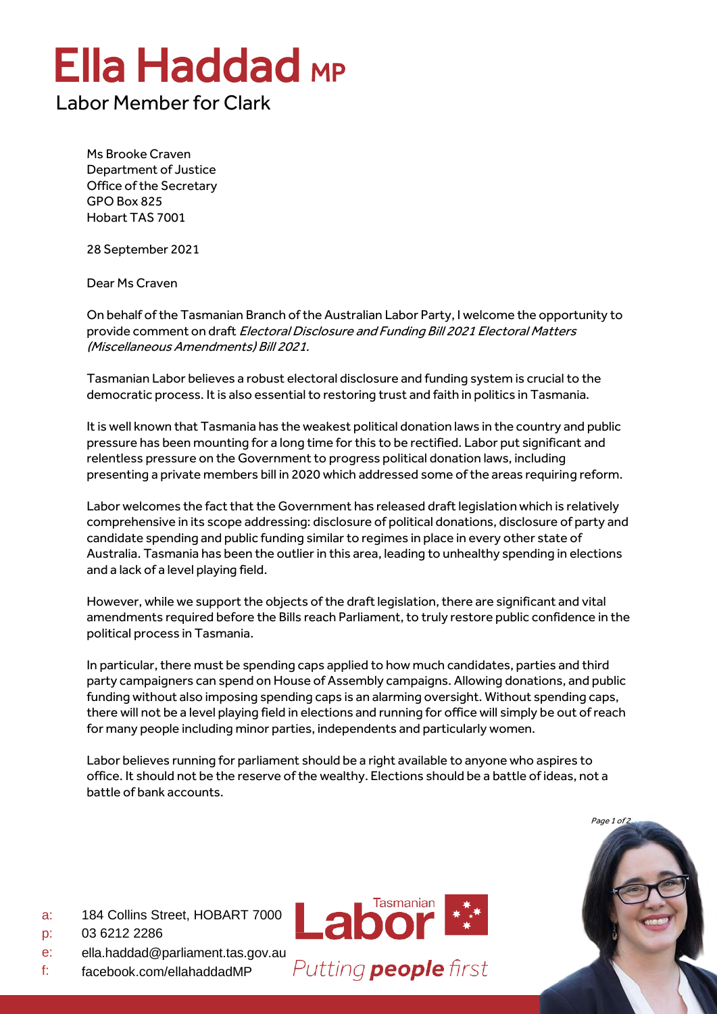## Ella Haddad MP

## Labor Member for Clark

Ms Brooke Craven Department of Justice Office of the Secretary GPO Box 825 Hobart TAS 7001

28 September 2021

Dear Ms Craven

On behalf of the Tasmanian Branch of the Australian Labor Party, I welcome the opportunity to provide comment on draft Electoral Disclosure and Funding Bill 2021 Electoral Matters (Miscellaneous Amendments) Bill 2021.

Tasmanian Labor believes a robust electoral disclosure and funding system is crucial to the democratic process. It is also essential to restoring trust and faith in politics in Tasmania.

It is well known that Tasmania has the weakest political donation laws in the country and public pressure has been mounting for a long time for this to be rectified. Labor put significant and relentless pressure on the Government to progress political donation laws, including presenting a private members bill in 2020 which addressed some of the areas requiring reform.

Labor welcomes the fact that the Government has released draft legislation which is relatively comprehensive in its scope addressing: disclosure of political donations, disclosure of party and candidate spending and public funding similar to regimes in place in every other state of Australia. Tasmania has been the outlier in this area, leading to unhealthy spending in elections and a lack of a level playing field.

However, while we support the objects of the draft legislation, there are significant and vital amendments required before the Bills reach Parliament, to truly restore public confidence in the political process in Tasmania.

In particular, there must be spending caps applied to how much candidates, parties and third party campaigners can spend on House of Assembly campaigns. Allowing donations, and public funding without also imposing spending caps is an alarming oversight. Without spending caps, there will not be a level playing field in elections and running for office will simply be out of reach for many people including minor parties, independents and particularly women.

Labor believes running for parliament should be a right available to anyone who aspires to office. It should not be the reserve of the wealthy. Elections should be a battle of ideas, not a battle of bank accounts.



- a: 184 Collins Street, HOBART 7000
- p: 03 6212 2286
- e: [ella.haddad@parliament.tas.gov.au](mailto:ella.haddad@parliament.tas.gov.au)
- f: facebook.com/ellahaddadMP